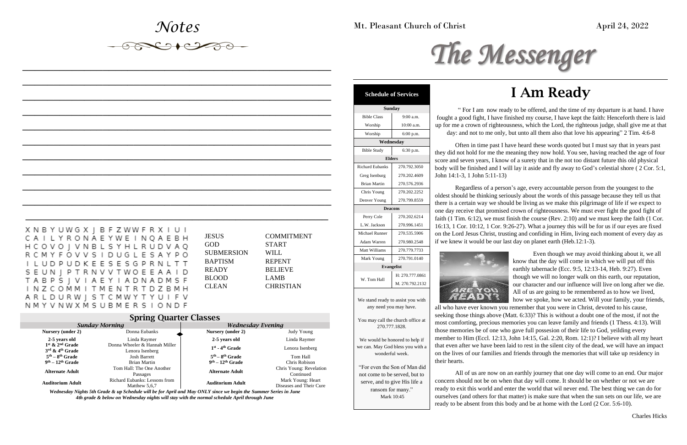# *Notes*

*\_\_\_\_\_\_\_\_\_\_\_\_\_\_\_\_\_\_\_\_\_\_\_\_\_\_\_\_\_\_\_\_\_\_\_\_\_\_\_\_\_\_\_\_\_\_\_\_\_\_*

*\_\_\_\_\_\_\_\_\_\_\_\_\_\_\_\_\_\_\_\_\_\_\_\_\_\_\_\_\_\_\_\_\_\_\_\_\_\_\_\_\_\_\_\_\_\_\_\_\_\_*

*\_\_\_\_\_\_\_\_\_\_\_\_\_\_\_\_\_\_\_\_\_\_\_\_\_\_\_\_\_\_\_\_\_\_\_\_\_\_\_\_\_\_\_\_\_\_\_\_\_\_*

*\_\_\_\_\_\_\_\_\_\_\_\_\_\_\_\_\_\_\_\_\_\_\_\_\_\_\_\_\_\_\_\_\_\_\_\_\_\_\_\_\_\_\_\_\_\_\_\_\_\_*

*\_\_\_\_\_\_\_\_\_\_\_\_\_\_\_\_\_\_\_\_\_\_\_\_\_\_\_\_\_\_\_\_\_\_\_\_\_\_\_\_\_\_\_\_\_\_\_\_\_\_*

*\_\_\_\_\_\_\_\_\_\_\_\_\_\_\_\_\_\_\_\_\_\_\_\_\_\_\_\_\_\_\_\_\_\_\_\_\_\_\_\_\_\_\_\_\_\_\_\_\_\_*

*\_\_\_\_\_\_\_\_\_\_\_\_\_\_\_\_\_\_\_\_\_\_\_\_\_\_\_\_\_\_\_\_\_\_\_\_\_\_\_\_\_\_\_\_\_\_\_\_\_\_*

*\_\_\_\_\_\_\_\_\_\_\_\_\_\_\_\_\_\_\_\_\_\_\_\_\_\_\_\_\_\_\_\_\_\_\_\_\_\_\_\_\_\_\_\_\_\_\_\_\_\_*

*\_\_\_\_\_\_\_\_\_\_\_\_\_\_\_\_\_\_\_\_\_\_\_\_\_\_\_\_\_\_\_\_\_\_\_\_\_\_\_\_\_\_\_\_\_\_\_\_\_\_*

*\_\_\_\_\_\_\_\_\_\_\_\_\_\_\_\_\_\_\_\_\_\_\_\_\_\_\_\_\_\_\_\_\_\_\_\_\_\_\_\_\_\_\_\_\_\_\_\_\_\_*

Often in time past I have heard these words quoted but I must say that in years past they did not hold for me the meaning they now hold. You see, having reached the age of four ore and seven years, I know of a surety that in the not too distant future this old physical dy will be finished and I will lay it aside and fly away to God's celestial shore ( $2 \text{ Cor. } 5:1$ , hn 14:1-3, 1 John 5:11-13)

*\_\_\_\_\_\_\_\_\_\_\_\_\_\_\_\_\_\_\_\_\_\_\_\_\_\_\_\_\_\_\_\_\_\_\_\_\_\_\_\_\_\_\_\_\_\_\_\_\_*

Mt. Pleasant Church of Christ April 24, 2022

## I Am Ready

Regardless of a person's age, every accountable person from the youngest to the lest should be thinking seriously about the words of this passage because they tell us that there is a certain way we should be living as we make this pilgrimage of life if we expect to e day receive that promised crown of righteousness. We must ever fight the good fight of th  $(1$  Tim. 6:12), we must finish the course (Rev. 2:10) and we must keep the faith  $(1 \text{ Cor.})$  $13, 1$  Cor.  $10.12$ , 1 Cor.  $9.26-27$ ). What a journey this will be for us if our eyes are fixed the Lord Jesus Christ, trusting and confiding in Him, living each moment of every day as we knew it would be our last day on planet earth (Heb.12:1-3).



" For I am now ready to be offered, and the time of my departure is at hand. I have hought a good fight, I have finished my course, I have kept the faith: Henceforth there is laid for me a crown of righteousness, which the Lord, the righteous judge, shall give me at that day: and not to me only, but unto all them also that love his appearing" 2 Tim. 4:6-8

> Even though we may avoid thinking about it, we all know that the day will come in which we will put off this earthly tabernacle (Ecc. 9:5, 12:13-14, Heb. 9:27). Even though we will no longer walk on this earth, our reputation, our character and our influence will live on long after we die. All of us are going to be remembered as to how we lived, how we spoke, how we acted. Will your family, your friends,

Mark Young 270.791.0140 **Evangelist**

> all who have ever known you remember that you were in Christ, devoted to his cause, seeking those things above (Matt. 6:33)? This is without a doubt one of the most, if not the most comforting, precious memories you can leave family and friends (1 Thess. 4:13). Will those memories be of one who gave full possesion of their life to God, yeilding every member to Him (Eccl. 12:13, John 14:15, Gal. 2:20, Rom. 12:1)? I believe with all my heart that even after we have been laid to rest in the silent city of the dead, we will have an impact on the lives of our families and friends through the memories that will take up residency in their hearts.

> All of us are now on an earthly journey that one day will come to an end. Our major concern should not be on when that day will come. It should be on whether or not we are ready to exit this world and enter the world that wil never end. The best thing we can do for ourselves (and others for that matter) is make sure that when the sun sets on our life, we are ready to be absent from this body and be at home with the Lord (2 Cor. 5:6-10).

|  |  |  |  |  |  | X N B Y U W G X J B F Z W W F R X I U I |  |  |  |  |
|--|--|--|--|--|--|-----------------------------------------|--|--|--|--|
|  |  |  |  |  |  | C A I L Y R O N A E Y W E I N Q A E B H |  |  |  |  |
|  |  |  |  |  |  | H C O V O J V N B L S Y H L R U D V A Q |  |  |  |  |
|  |  |  |  |  |  | R C M Y F O V V S I D U G L E S A Y P O |  |  |  |  |
|  |  |  |  |  |  | I L U D P U D K E E S E S G P R N L T T |  |  |  |  |
|  |  |  |  |  |  | S E U N J P T R N V V T W O E E A A I D |  |  |  |  |
|  |  |  |  |  |  | T A B P S   V I A E Y I A D N A D M S F |  |  |  |  |
|  |  |  |  |  |  | INZCOMMITMENTRTDZBMH                    |  |  |  |  |
|  |  |  |  |  |  | A R L D U R W J S T C M W Y T Y U I F V |  |  |  |  |
|  |  |  |  |  |  | N M Y V N W X M S U B M E R S I O N D F |  |  |  |  |

| JESUS          |  |
|----------------|--|
| GOD            |  |
| SUBMERSION     |  |
| <b>BAPTISM</b> |  |
| READY          |  |
| BLOOD          |  |
| CLEAN          |  |

**COMMITMENT START** WILL **REPENT BELIEVE** LAMB **CHRISTIAN** 

| <b>Spring Quarter Classes</b>                                  |                                                |                               |                                              |  |  |  |
|----------------------------------------------------------------|------------------------------------------------|-------------------------------|----------------------------------------------|--|--|--|
|                                                                | <b>Sunday Morning</b>                          | <b>Wednesday Evening</b>      |                                              |  |  |  |
| Nursery (under 2)                                              | Donna Eubanks                                  | Nursery (under 2)             | Judy Young                                   |  |  |  |
| 2-5 years old                                                  | Linda Raymer                                   | 2-5 years old                 | Linda Raymer                                 |  |  |  |
| $1st$ & $2nd$ Grade<br>$3^{\text{rd}}$ & $4^{\text{th}}$ Grade | Donna Wheeler & Hannah Miller                  | $1st$ - 4 <sup>th</sup> Grade | Lenora Isenberg                              |  |  |  |
| $5th - 8th$ Grade                                              | Lenora Isenberg<br><b>Josh Barrett</b>         | $5th - 8th$ Grade             | Tom Hall                                     |  |  |  |
| $9th - 12th$ Grade                                             | <b>Brian Martin</b>                            | $9th - 12th$ Grade            | Chris Robison                                |  |  |  |
| <b>Alternate Adult</b>                                         | Tom Hall: The One Another<br>Passages          | <b>Alternate Adult</b>        | Chris Young: Revelation<br>Continued         |  |  |  |
| <b>Auditorium Adult</b>                                        | Richard Eubanks: Lessons from<br>Matthew 5,6,7 | <b>Auditorium Adult</b>       | Mark Young: Heart<br>Diseases and Their Cure |  |  |  |

*Wednesday Nights 5th Grade & up Schedule will be for April and May ONLY since we begin the Summer Series in June 4th grade & below on Wednesday nights will stay with the normal schedule April through June*



| <b>Schedule of Services</b> |              |             |  |  |  |  |  |
|-----------------------------|--------------|-------------|--|--|--|--|--|
| <b>Sunday</b>               |              |             |  |  |  |  |  |
| <b>Bible Class</b>          | $9:00$ a.m.  | fot         |  |  |  |  |  |
| Worship                     | $10:00$ a.m. | up          |  |  |  |  |  |
| Worship                     | 6:00 p.m.    |             |  |  |  |  |  |
| Wednesday                   |              |             |  |  |  |  |  |
| <b>Bible Study</b>          | 6:30 p.m.    | the         |  |  |  |  |  |
| <b>Elders</b>               |              |             |  |  |  |  |  |
| <b>Richard Eubanks</b>      | 270.792.3050 | sco<br>boc  |  |  |  |  |  |
| Greg Isenburg               | 270.202.4609 | Joh         |  |  |  |  |  |
| <b>Brian Martin</b>         | 270.576.2936 |             |  |  |  |  |  |
| Chris Young                 | 270.202.2252 | old         |  |  |  |  |  |
| Denver Young                | 270.799.8559 | the         |  |  |  |  |  |
| <b>Deacons</b>              |              |             |  |  |  |  |  |
| Perry Cole                  | 270.202.6214 | one<br>fait |  |  |  |  |  |
| L.W. Jackson                | 270.996.1451 | 16:         |  |  |  |  |  |
| Michael Runner              | 270.535.5906 | on :        |  |  |  |  |  |
| Adam Warren                 | 270.980.2548 | if v        |  |  |  |  |  |
| Matt Williams               | 270.779.7733 |             |  |  |  |  |  |

W. Tom Hall

H: 270.777.0861 M. 270.792.2132

We stand ready to assist you with any need you may have.

You may call the church office at 270.777.1828.

We would be honored to help if we can. May God bless you with a wonderful week.

"For even the Son of Man did not come to be served, but to serve, and to give His life a ransom for many." Mark 10:45